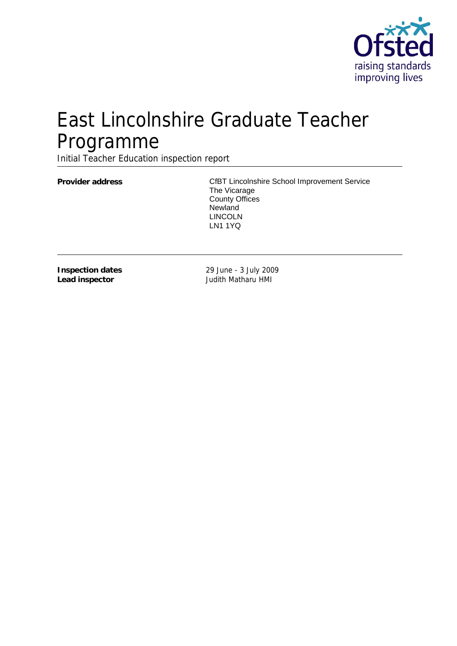

# East Lincolnshire Graduate Teacher Programme

Initial Teacher Education inspection report

Provider address **Provider address** CfBT Lincolnshire School Improvement Service The Vicarage County Offices **Newland** LINCOLN LN1 1YQ

**Inspection dates Lead inspector**

29 June - 3 July 2009 Judith Matharu HMI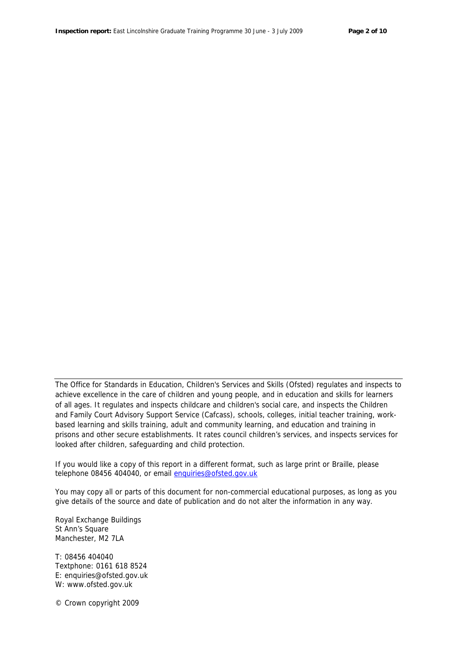The Office for Standards in Education, Children's Services and Skills (Ofsted) regulates and inspects to achieve excellence in the care of children and young people, and in education and skills for learners of all ages. It regulates and inspects childcare and children's social care, and inspects the Children and Family Court Advisory Support Service (Cafcass), schools, colleges, initial teacher training, workbased learning and skills training, adult and community learning, and education and training in prisons and other secure establishments. It rates council children's services, and inspects services for looked after children, safeguarding and child protection.

If you would like a copy of this report in a different format, such as large print or Braille, please telephone 08456 404040, or email enquiries@ofsted.gov.uk

You may copy all or parts of this document for non-commercial educational purposes, as long as you give details of the source and date of publication and do not alter the information in any way.

Royal Exchange Buildings St Ann's Square Manchester, M2 7LA

T: 08456 404040 Textphone: 0161 618 8524 E: enquiries@ofsted.gov.uk W: www.ofsted.gov.uk

© Crown copyright 2009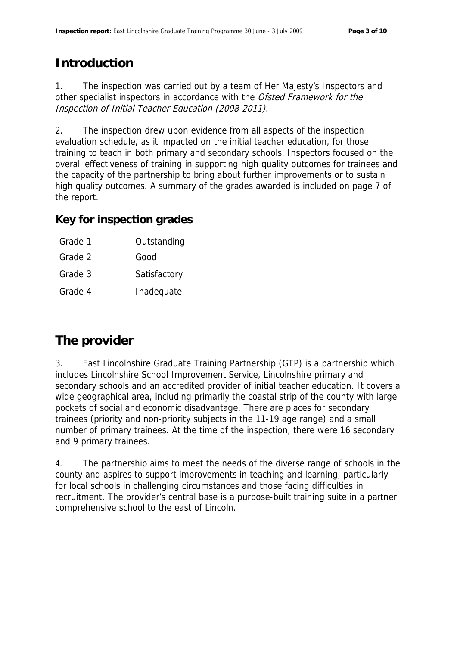# **Introduction**

1. The inspection was carried out by a team of Her Majesty's Inspectors and other specialist inspectors in accordance with the Ofsted Framework for the Inspection of Initial Teacher Education (2008-2011).

2. The inspection drew upon evidence from all aspects of the inspection evaluation schedule, as it impacted on the initial teacher education, for those training to teach in both primary and secondary schools. Inspectors focused on the overall effectiveness of training in supporting high quality outcomes for trainees and the capacity of the partnership to bring about further improvements or to sustain high quality outcomes. A summary of the grades awarded is included on page 7 of the report.

**Key for inspection grades**

- Grade 1 Outstanding
- Grade 2 Good
- Grade 3 **Satisfactory**
- Grade 4 Inadequate

## **The provider**

3. East Lincolnshire Graduate Training Partnership (GTP) is a partnership which includes Lincolnshire School Improvement Service, Lincolnshire primary and secondary schools and an accredited provider of initial teacher education. It covers a wide geographical area, including primarily the coastal strip of the county with large pockets of social and economic disadvantage. There are places for secondary trainees (priority and non-priority subjects in the 11-19 age range) and a small number of primary trainees. At the time of the inspection, there were 16 secondary and 9 primary trainees.

4. The partnership aims to meet the needs of the diverse range of schools in the county and aspires to support improvements in teaching and learning, particularly for local schools in challenging circumstances and those facing difficulties in recruitment. The provider's central base is a purpose-built training suite in a partner comprehensive school to the east of Lincoln.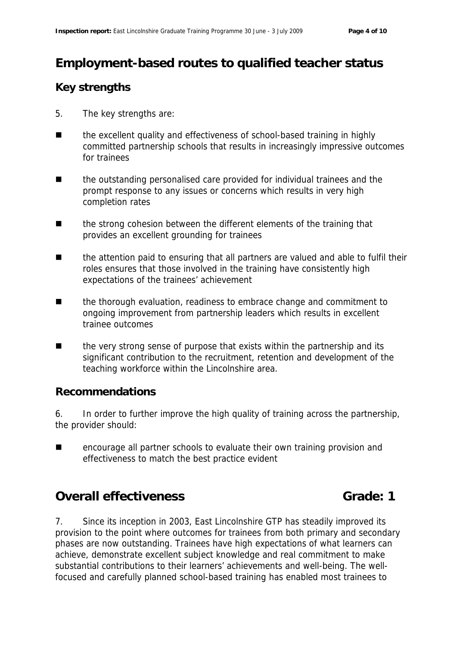# **Employment-based routes to qualified teacher status**

#### **Key strengths**

- 5. The key strengths are:
- the excellent quality and effectiveness of school-based training in highly committed partnership schools that results in increasingly impressive outcomes for trainees
- the outstanding personalised care provided for individual trainees and the prompt response to any issues or concerns which results in very high completion rates
- the strong cohesion between the different elements of the training that provides an excellent grounding for trainees
- the attention paid to ensuring that all partners are valued and able to fulfil their roles ensures that those involved in the training have consistently high expectations of the trainees' achievement
- the thorough evaluation, readiness to embrace change and commitment to ongoing improvement from partnership leaders which results in excellent trainee outcomes
- the very strong sense of purpose that exists within the partnership and its significant contribution to the recruitment, retention and development of the teaching workforce within the Lincolnshire area.

#### **Recommendations**

6. In order to further improve the high quality of training across the partnership, the provider should:

■ encourage all partner schools to evaluate their own training provision and effectiveness to match the best practice evident

#### **Overall effectiveness** Grade: 1

7. Since its inception in 2003, East Lincolnshire GTP has steadily improved its provision to the point where outcomes for trainees from both primary and secondary phases are now outstanding. Trainees have high expectations of what learners can achieve, demonstrate excellent subject knowledge and real commitment to make substantial contributions to their learners' achievements and well-being. The wellfocused and carefully planned school-based training has enabled most trainees to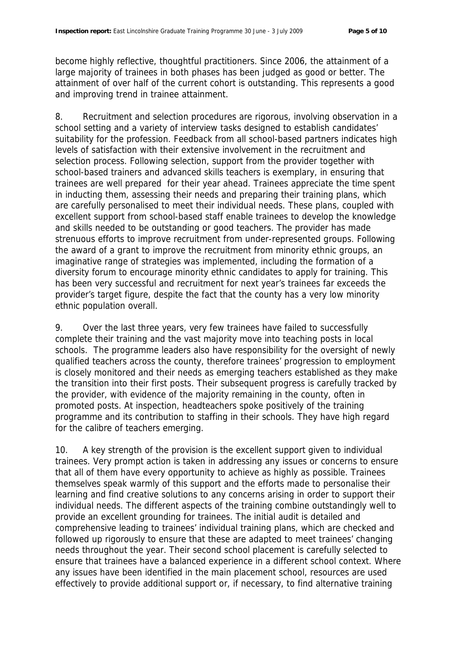become highly reflective, thoughtful practitioners. Since 2006, the attainment of a large majority of trainees in both phases has been judged as good or better. The attainment of over half of the current cohort is outstanding. This represents a good and improving trend in trainee attainment.

8. Recruitment and selection procedures are rigorous, involving observation in a school setting and a variety of interview tasks designed to establish candidates' suitability for the profession. Feedback from all school-based partners indicates high levels of satisfaction with their extensive involvement in the recruitment and selection process. Following selection, support from the provider together with school-based trainers and advanced skills teachers is exemplary, in ensuring that trainees are well prepared for their year ahead. Trainees appreciate the time spent in inducting them, assessing their needs and preparing their training plans, which are carefully personalised to meet their individual needs. These plans, coupled with excellent support from school-based staff enable trainees to develop the knowledge and skills needed to be outstanding or good teachers. The provider has made strenuous efforts to improve recruitment from under-represented groups. Following the award of a grant to improve the recruitment from minority ethnic groups, an imaginative range of strategies was implemented, including the formation of a diversity forum to encourage minority ethnic candidates to apply for training. This has been very successful and recruitment for next year's trainees far exceeds the provider's target figure, despite the fact that the county has a very low minority ethnic population overall.

9. Over the last three years, very few trainees have failed to successfully complete their training and the vast majority move into teaching posts in local schools. The programme leaders also have responsibility for the oversight of newly qualified teachers across the county, therefore trainees' progression to employment is closely monitored and their needs as emerging teachers established as they make the transition into their first posts. Their subsequent progress is carefully tracked by the provider, with evidence of the majority remaining in the county, often in promoted posts. At inspection, headteachers spoke positively of the training programme and its contribution to staffing in their schools. They have high regard for the calibre of teachers emerging.

10. A key strength of the provision is the excellent support given to individual trainees. Very prompt action is taken in addressing any issues or concerns to ensure that all of them have every opportunity to achieve as highly as possible. Trainees themselves speak warmly of this support and the efforts made to personalise their learning and find creative solutions to any concerns arising in order to support their individual needs. The different aspects of the training combine outstandingly well to provide an excellent grounding for trainees. The initial audit is detailed and comprehensive leading to trainees' individual training plans, which are checked and followed up rigorously to ensure that these are adapted to meet trainees' changing needs throughout the year. Their second school placement is carefully selected to ensure that trainees have a balanced experience in a different school context. Where any issues have been identified in the main placement school, resources are used effectively to provide additional support or, if necessary, to find alternative training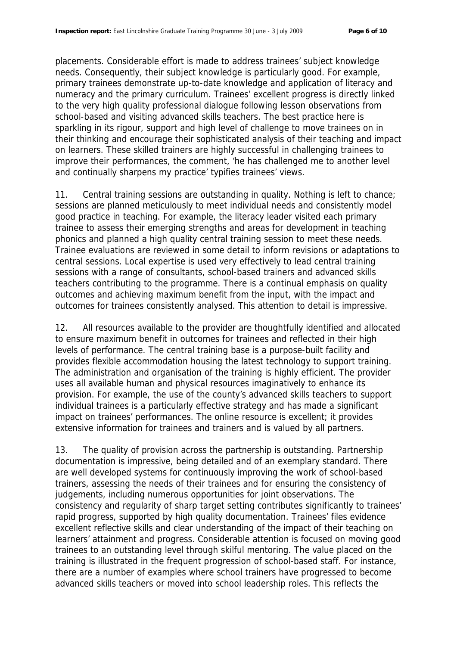placements. Considerable effort is made to address trainees' subject knowledge needs. Consequently, their subject knowledge is particularly good. For example, primary trainees demonstrate up-to-date knowledge and application of literacy and numeracy and the primary curriculum. Trainees' excellent progress is directly linked to the very high quality professional dialogue following lesson observations from school-based and visiting advanced skills teachers. The best practice here is sparkling in its rigour, support and high level of challenge to move trainees on in their thinking and encourage their sophisticated analysis of their teaching and impact on learners. These skilled trainers are highly successful in challenging trainees to improve their performances, the comment, 'he has challenged me to another level and continually sharpens my practice' typifies trainees' views.

11. Central training sessions are outstanding in quality. Nothing is left to chance; sessions are planned meticulously to meet individual needs and consistently model good practice in teaching. For example, the literacy leader visited each primary trainee to assess their emerging strengths and areas for development in teaching phonics and planned a high quality central training session to meet these needs. Trainee evaluations are reviewed in some detail to inform revisions or adaptations to central sessions. Local expertise is used very effectively to lead central training sessions with a range of consultants, school-based trainers and advanced skills teachers contributing to the programme. There is a continual emphasis on quality outcomes and achieving maximum benefit from the input, with the impact and outcomes for trainees consistently analysed. This attention to detail is impressive.

12. All resources available to the provider are thoughtfully identified and allocated to ensure maximum benefit in outcomes for trainees and reflected in their high levels of performance. The central training base is a purpose-built facility and provides flexible accommodation housing the latest technology to support training. The administration and organisation of the training is highly efficient. The provider uses all available human and physical resources imaginatively to enhance its provision. For example, the use of the county's advanced skills teachers to support individual trainees is a particularly effective strategy and has made a significant impact on trainees' performances. The online resource is excellent; it provides extensive information for trainees and trainers and is valued by all partners.

13. The quality of provision across the partnership is outstanding. Partnership documentation is impressive, being detailed and of an exemplary standard. There are well developed systems for continuously improving the work of school-based trainers, assessing the needs of their trainees and for ensuring the consistency of judgements, including numerous opportunities for joint observations. The consistency and regularity of sharp target setting contributes significantly to trainees' rapid progress, supported by high quality documentation. Trainees' files evidence excellent reflective skills and clear understanding of the impact of their teaching on learners' attainment and progress. Considerable attention is focused on moving good trainees to an outstanding level through skilful mentoring. The value placed on the training is illustrated in the frequent progression of school-based staff. For instance, there are a number of examples where school trainers have progressed to become advanced skills teachers or moved into school leadership roles. This reflects the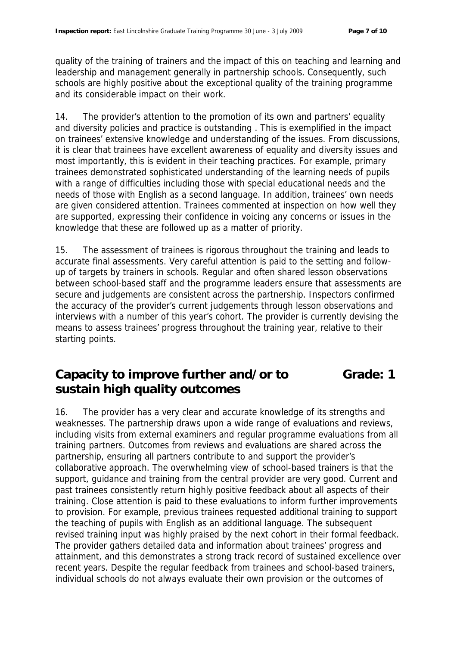quality of the training of trainers and the impact of this on teaching and learning and leadership and management generally in partnership schools. Consequently, such schools are highly positive about the exceptional quality of the training programme and its considerable impact on their work.

14. The provider's attention to the promotion of its own and partners' equality and diversity policies and practice is outstanding . This is exemplified in the impact on trainees' extensive knowledge and understanding of the issues. From discussions, it is clear that trainees have excellent awareness of equality and diversity issues and most importantly, this is evident in their teaching practices. For example, primary trainees demonstrated sophisticated understanding of the learning needs of pupils with a range of difficulties including those with special educational needs and the needs of those with English as a second language. In addition, trainees' own needs are given considered attention. Trainees commented at inspection on how well they are supported, expressing their confidence in voicing any concerns or issues in the knowledge that these are followed up as a matter of priority.

15. The assessment of trainees is rigorous throughout the training and leads to accurate final assessments. Very careful attention is paid to the setting and followup of targets by trainers in schools. Regular and often shared lesson observations between school-based staff and the programme leaders ensure that assessments are secure and judgements are consistent across the partnership. Inspectors confirmed the accuracy of the provider's current judgements through lesson observations and interviews with a number of this year's cohort. The provider is currently devising the means to assess trainees' progress throughout the training year, relative to their starting points.

#### **Capacity to improve further and/or to sustain high quality outcomes Grade: 1**

16. The provider has a very clear and accurate knowledge of its strengths and weaknesses. The partnership draws upon a wide range of evaluations and reviews, including visits from external examiners and regular programme evaluations from all training partners. Outcomes from reviews and evaluations are shared across the partnership, ensuring all partners contribute to and support the provider's collaborative approach. The overwhelming view of school-based trainers is that the support, guidance and training from the central provider are very good. Current and past trainees consistently return highly positive feedback about all aspects of their training. Close attention is paid to these evaluations to inform further improvements to provision. For example, previous trainees requested additional training to support the teaching of pupils with English as an additional language. The subsequent revised training input was highly praised by the next cohort in their formal feedback. The provider gathers detailed data and information about trainees' progress and attainment, and this demonstrates a strong track record of sustained excellence over recent years. Despite the regular feedback from trainees and school-based trainers, individual schools do not always evaluate their own provision or the outcomes of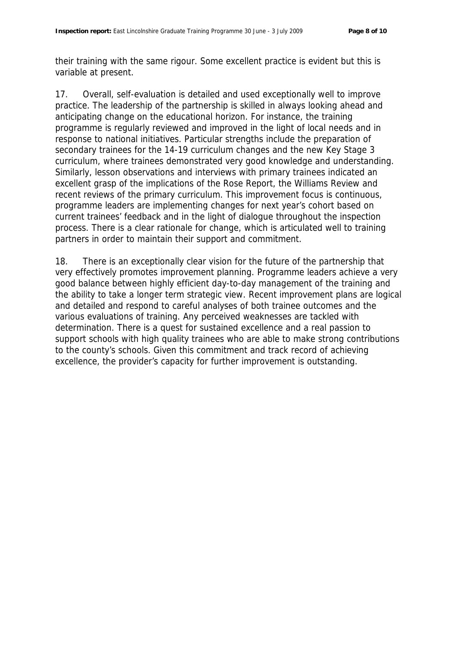their training with the same rigour. Some excellent practice is evident but this is variable at present.

17. Overall, self-evaluation is detailed and used exceptionally well to improve practice. The leadership of the partnership is skilled in always looking ahead and anticipating change on the educational horizon. For instance, the training programme is regularly reviewed and improved in the light of local needs and in response to national initiatives. Particular strengths include the preparation of secondary trainees for the 14-19 curriculum changes and the new Key Stage 3 curriculum, where trainees demonstrated very good knowledge and understanding. Similarly, lesson observations and interviews with primary trainees indicated an excellent grasp of the implications of the Rose Report, the Williams Review and recent reviews of the primary curriculum. This improvement focus is continuous, programme leaders are implementing changes for next year's cohort based on current trainees' feedback and in the light of dialogue throughout the inspection process. There is a clear rationale for change, which is articulated well to training partners in order to maintain their support and commitment.

18. There is an exceptionally clear vision for the future of the partnership that very effectively promotes improvement planning. Programme leaders achieve a very good balance between highly efficient day-to-day management of the training and the ability to take a longer term strategic view. Recent improvement plans are logical and detailed and respond to careful analyses of both trainee outcomes and the various evaluations of training. Any perceived weaknesses are tackled with determination. There is a quest for sustained excellence and a real passion to support schools with high quality trainees who are able to make strong contributions to the county's schools. Given this commitment and track record of achieving excellence, the provider's capacity for further improvement is outstanding.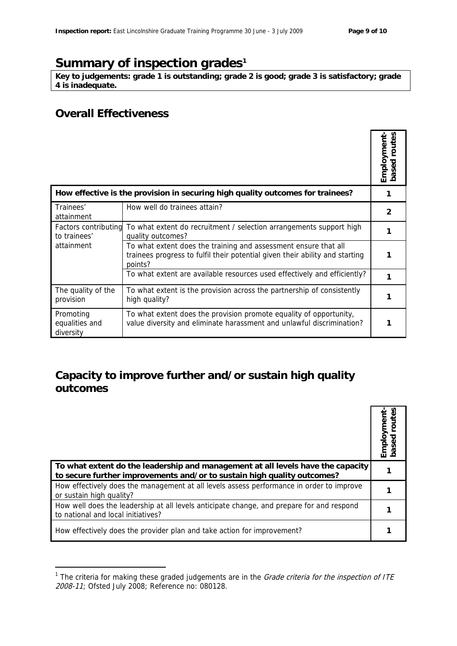## Summary of inspection grades<sup>1</sup>

**Key to judgements: grade 1 is outstanding; grade 2 is good; grade 3 is satisfactory; grade 4 is inadequate.**

#### **Overall Effectiveness**

-

|                                                                                |                                                                                                                                                            | based routes<br>Employment |
|--------------------------------------------------------------------------------|------------------------------------------------------------------------------------------------------------------------------------------------------------|----------------------------|
| How effective is the provision in securing high quality outcomes for trainees? |                                                                                                                                                            |                            |
| Trainees'<br>attainment                                                        | How well do trainees attain?                                                                                                                               | 2                          |
| Factors contributing<br>to trainees'                                           | To what extent do recruitment / selection arrangements support high<br>quality outcomes?                                                                   |                            |
| attainment                                                                     | To what extent does the training and assessment ensure that all<br>trainees progress to fulfil their potential given their ability and starting<br>points? |                            |
|                                                                                | To what extent are available resources used effectively and efficiently?                                                                                   |                            |
| The quality of the<br>provision                                                | To what extent is the provision across the partnership of consistently<br>high quality?                                                                    |                            |
| Promoting<br>equalities and<br>diversity                                       | To what extent does the provision promote equality of opportunity,<br>value diversity and eliminate harassment and unlawful discrimination?                |                            |

#### **Capacity to improve further and/or sustain high quality outcomes**

|                                                                                                                                                            | mploym |
|------------------------------------------------------------------------------------------------------------------------------------------------------------|--------|
| To what extent do the leadership and management at all levels have the capacity<br>to secure further improvements and/or to sustain high quality outcomes? |        |
| How effectively does the management at all levels assess performance in order to improve<br>or sustain high quality?                                       |        |
| How well does the leadership at all levels anticipate change, and prepare for and respond<br>to national and local initiatives?                            |        |
| How effectively does the provider plan and take action for improvement?                                                                                    |        |

<sup>&</sup>lt;sup>1</sup> The criteria for making these graded judgements are in the *Grade criteria for the inspection of ITE* 2008-11; Ofsted July 2008; Reference no: 080128.